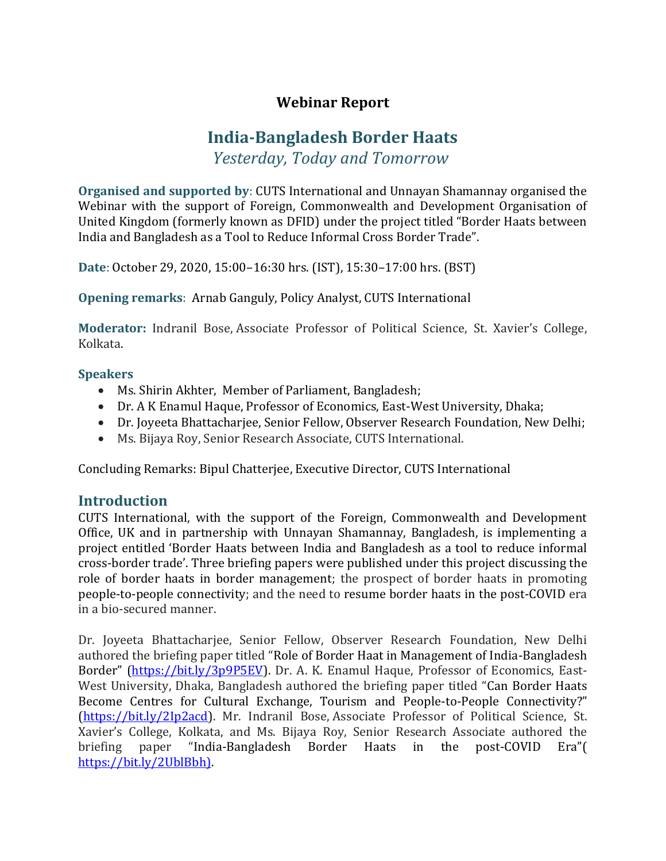# **Webinar Report**

# **India-Bangladesh Border Haats**

*Yesterday, Today and Tomorrow*

**Organised and supported by**: CUTS International and Unnayan Shamannay organised the Webinar with the support of Foreign, Commonwealth and Development Organisation of United Kingdom (formerly known as DFID) under the project titled "Border Haats between India and Bangladesh as a Tool to Reduce Informal Cross Border Trade".

**Date**: October 29, 2020, 15:00–16:30 hrs. (IST), 15:30–17:00 hrs. (BST)

**Opening remarks**: Arnab Ganguly, Policy Analyst, CUTS International

**Moderator:** Indranil Bose, Associate Professor of Political Science, St. Xavier's College, Kolkata.

#### **Speakers**

- Ms. Shirin Akhter, Member of Parliament, Bangladesh;
- Dr. A K Enamul Haque, Professor of Economics, East-West University, Dhaka;
- Dr. Joyeeta Bhattacharjee, Senior Fellow, Observer Research Foundation, New Delhi;
- Ms. Bijaya Roy, Senior Research Associate, CUTS International.

Concluding Remarks: Bipul Chatterjee, Executive Director, CUTS International

### **Introduction**

CUTS International, with the support of the Foreign, Commonwealth and Development Office, UK and in partnership with Unnayan Shamannay, Bangladesh, is implementing a project entitled 'Border Haats between India and Bangladesh as a tool to reduce informal cross-border trade'. Three briefing papers were published under this project discussing the role of border haats in border management; the prospect of border haats in promoting people-to-people connectivity; and the need to resume border haats in the post-COVID era in a bio-secured manner.

Dr. Joyeeta Bhattacharjee, Senior Fellow, Observer Research Foundation, New Delhi authored the briefing paper titled "Role of Border Haat in Management of India-Bangladesh Border" ([https://bit.ly/3p9P5EV\)](https://bit.ly/3p9P5EV). Dr. A. K. Enamul Haque, Professor of Economics, East-West University, Dhaka, Bangladesh authored the briefing paper titled "Can Border Haats Become Centres for Cultural Exchange, Tourism and People-to-People Connectivity?" [\(https://bit.ly/2Ip2acd\)](https://bit.ly/2Ip2acd). Mr. Indranil Bose, Associate Professor of Political Science, St. Xavier's College, Kolkata, and Ms. Bijaya Roy, Senior Research Associate authored the briefing paper "India-Bangladesh Border Haats in the post-COVID Era"( [https://bit.ly/2UblBbh\).](https://bit.ly/2UblBbh))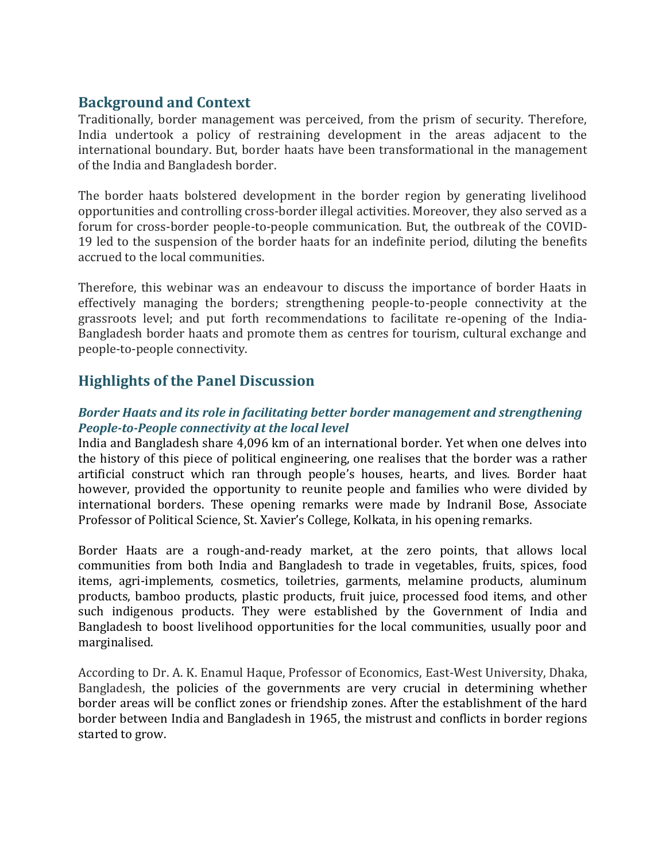## **Background and Context**

Traditionally, border management was perceived, from the prism of security. Therefore, India undertook a policy of restraining development in the areas adjacent to the international boundary. But, border haats have been transformational in the management of the India and Bangladesh border.

The border haats bolstered development in the border region by generating livelihood opportunities and controlling cross-border illegal activities. Moreover, they also served as a forum for cross-border people-to-people communication. But, the outbreak of the COVID-19 led to the suspension of the border haats for an indefinite period, diluting the benefits accrued to the local communities.

Therefore, this webinar was an endeavour to discuss the importance of border Haats in effectively managing the borders; strengthening people-to-people connectivity at the grassroots level; and put forth recommendations to facilitate re-opening of the India-Bangladesh border haats and promote them as centres for tourism, cultural exchange and people-to-people connectivity.

## **Highlights of the Panel Discussion**

#### *Border Haats and its role in facilitating better border management and strengthening People-to-People connectivity at the local level*

India and Bangladesh share 4,096 km of an international border. Yet when one delves into the history of this piece of political engineering, one realises that the border was a rather artificial construct which ran through people's houses, hearts, and lives. Border haat however, provided the opportunity to reunite people and families who were divided by international borders. These opening remarks were made by Indranil Bose, Associate Professor of Political Science, St. Xavier's College, Kolkata, in his opening remarks.

Border Haats are a rough-and-ready market, at the zero points, that allows local communities from both India and Bangladesh to trade in vegetables, fruits, spices, food items, agri-implements, cosmetics, toiletries, garments, melamine products, aluminum products, bamboo products, plastic products, fruit juice, processed food items, and other such indigenous products. They were established by the Government of India and Bangladesh to boost livelihood opportunities for the local communities, usually poor and marginalised.

According to Dr. A. K. Enamul Haque, Professor of Economics, East-West University, Dhaka, Bangladesh, the policies of the governments are very crucial in determining whether border areas will be conflict zones or friendship zones. After the establishment of the hard border between India and Bangladesh in 1965, the mistrust and conflicts in border regions started to grow.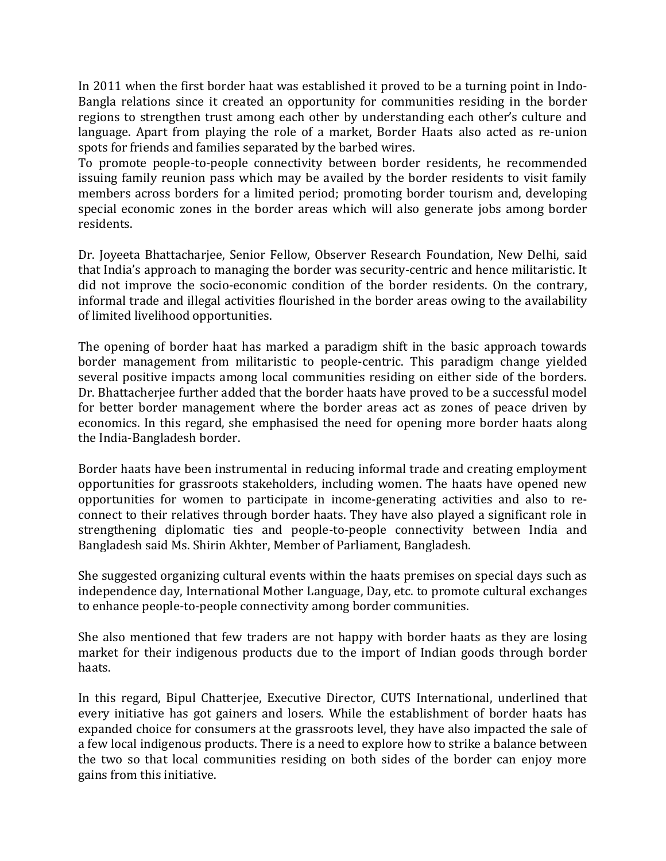In 2011 when the first border haat was established it proved to be a turning point in Indo-Bangla relations since it created an opportunity for communities residing in the border regions to strengthen trust among each other by understanding each other's culture and language. Apart from playing the role of a market, Border Haats also acted as re-union spots for friends and families separated by the barbed wires.

To promote people-to-people connectivity between border residents, he recommended issuing family reunion pass which may be availed by the border residents to visit family members across borders for a limited period; promoting border tourism and, developing special economic zones in the border areas which will also generate jobs among border residents.

Dr. Joyeeta Bhattacharjee, Senior Fellow, Observer Research Foundation, New Delhi, said that India's approach to managing the border was security-centric and hence militaristic. It did not improve the socio-economic condition of the border residents. On the contrary, informal trade and illegal activities flourished in the border areas owing to the availability of limited livelihood opportunities.

The opening of border haat has marked a paradigm shift in the basic approach towards border management from militaristic to people-centric. This paradigm change yielded several positive impacts among local communities residing on either side of the borders. Dr. Bhattacherjee further added that the border haats have proved to be a successful model for better border management where the border areas act as zones of peace driven by economics. In this regard, she emphasised the need for opening more border haats along the India-Bangladesh border.

Border haats have been instrumental in reducing informal trade and creating employment opportunities for grassroots stakeholders, including women. The haats have opened new opportunities for women to participate in income-generating activities and also to reconnect to their relatives through border haats. They have also played a significant role in strengthening diplomatic ties and people-to-people connectivity between India and Bangladesh said Ms. Shirin Akhter, Member of Parliament, Bangladesh.

She suggested organizing cultural events within the haats premises on special days such as independence day, International Mother Language, Day, etc. to promote cultural exchanges to enhance people-to-people connectivity among border communities.

She also mentioned that few traders are not happy with border haats as they are losing market for their indigenous products due to the import of Indian goods through border haats.

In this regard, Bipul Chatterjee, Executive Director, CUTS International, underlined that every initiative has got gainers and losers. While the establishment of border haats has expanded choice for consumers at the grassroots level, they have also impacted the sale of a few local indigenous products. There is a need to explore how to strike a balance between the two so that local communities residing on both sides of the border can enjoy more gains from this initiative.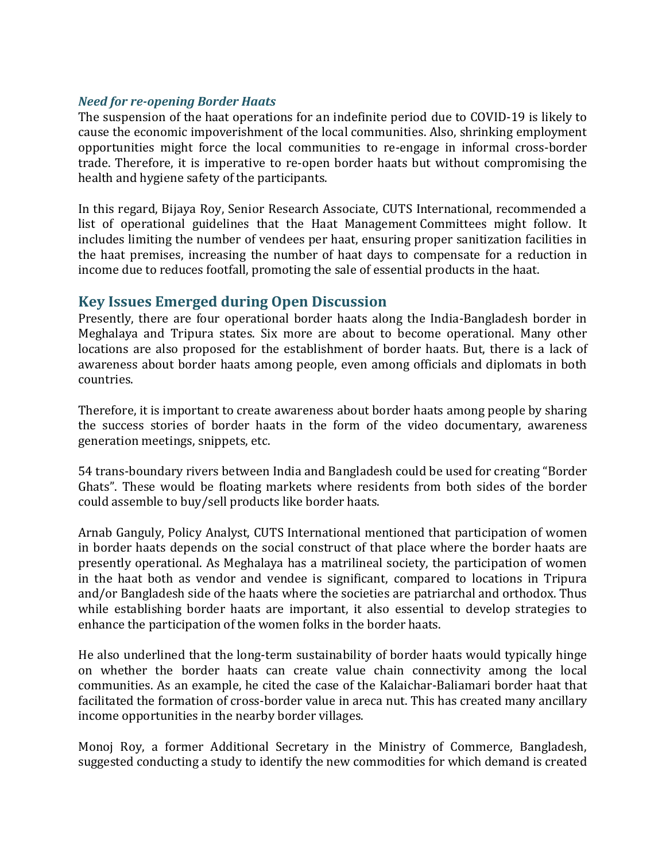#### *Need for re-opening Border Haats*

The suspension of the haat operations for an indefinite period due to COVID-19 is likely to cause the economic impoverishment of the local communities. Also, shrinking employment opportunities might force the local communities to re-engage in informal cross-border trade. Therefore, it is imperative to re-open border haats but without compromising the health and hygiene safety of the participants.

In this regard, Bijaya Roy, Senior Research Associate, CUTS International, recommended a list of operational guidelines that the Haat Management Committees might follow. It includes limiting the number of vendees per haat, ensuring proper sanitization facilities in the haat premises, increasing the number of haat days to compensate for a reduction in income due to reduces footfall, promoting the sale of essential products in the haat.

### **Key Issues Emerged during Open Discussion**

Presently, there are four operational border haats along the India-Bangladesh border in Meghalaya and Tripura states. Six more are about to become operational. Many other locations are also proposed for the establishment of border haats. But, there is a lack of awareness about border haats among people, even among officials and diplomats in both countries.

Therefore, it is important to create awareness about border haats among people by sharing the success stories of border haats in the form of the video documentary, awareness generation meetings, snippets, etc.

54 trans-boundary rivers between India and Bangladesh could be used for creating "Border Ghats". These would be floating markets where residents from both sides of the border could assemble to buy/sell products like border haats.

Arnab Ganguly, Policy Analyst, CUTS International mentioned that participation of women in border haats depends on the social construct of that place where the border haats are presently operational. As Meghalaya has a matrilineal society, the participation of women in the haat both as vendor and vendee is significant, compared to locations in Tripura and/or Bangladesh side of the haats where the societies are patriarchal and orthodox. Thus while establishing border haats are important, it also essential to develop strategies to enhance the participation of the women folks in the border haats.

He also underlined that the long-term sustainability of border haats would typically hinge on whether the border haats can create value chain connectivity among the local communities. As an example, he cited the case of the Kalaichar-Baliamari border haat that facilitated the formation of cross-border value in areca nut. This has created many ancillary income opportunities in the nearby border villages.

Monoj Roy, a former Additional Secretary in the Ministry of Commerce, Bangladesh, suggested conducting a study to identify the new commodities for which demand is created